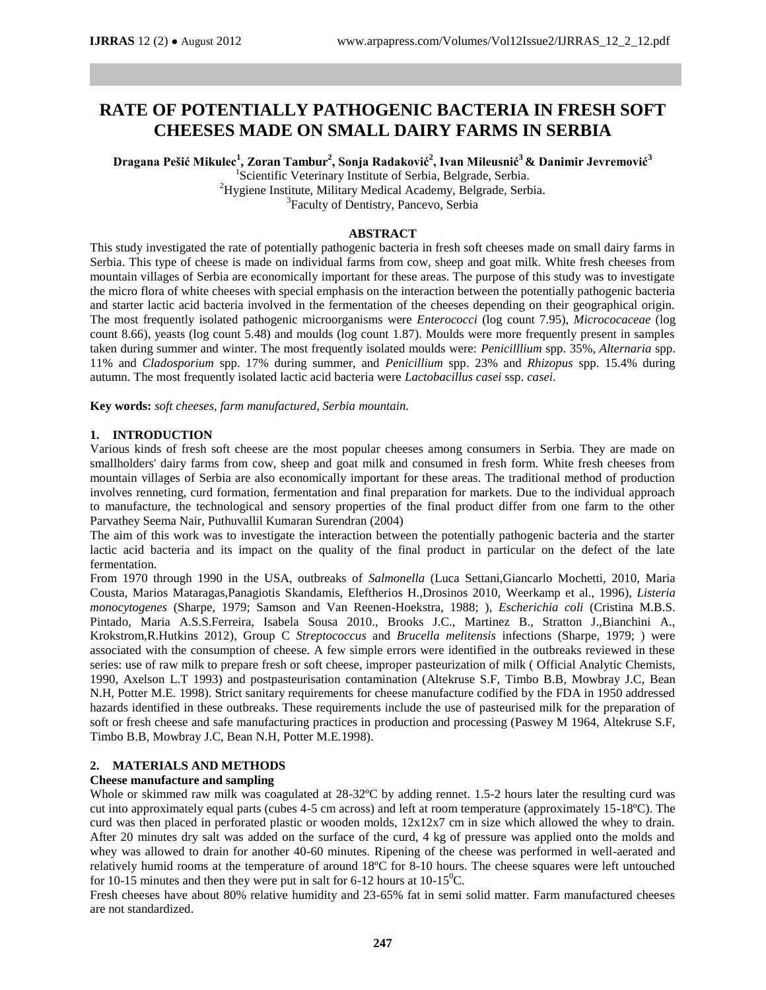# **RATE OF POTENTIALLY PATHOGENIC BACTERIA IN FRESH SOFT CHEESES MADE ON SMALL DAIRY FARMS IN SERBIA**

**Dragana Pešić Mikulec<sup>1</sup> , Zoran Tambur<sup>2</sup> , Sonja Radaković<sup>2</sup> , Ivan Mileusnić<sup>3</sup>& Danimir Jevremović<sup>3</sup>**

<sup>1</sup>Scientific Veterinary Institute of Serbia, Belgrade, Serbia.

<sup>2</sup>Hygiene Institute, Military Medical Academy, Belgrade, Serbia. <sup>3</sup> Faculty of Dentistry, Pancevo, Serbia

# **ABSTRACT**

This study investigated the rate of potentially pathogenic bacteria in fresh soft cheeses made on small dairy farms in Serbia. This type of cheese is made on individual farms from cow, sheep and goat milk. White fresh cheeses from mountain villages of Serbia are economically important for these areas. The purpose of this study was to investigate the micro flora of white cheeses with special emphasis on the interaction between the potentially pathogenic bacteria and starter lactic acid bacteria involved in the fermentation of the cheeses depending on their geographical origin. The most frequently isolated pathogenic microorganisms were *Enterococci* (log count 7.95), *Micrococaceae* (log count 8.66), yeasts (log count 5.48) and moulds (log count 1.87). Moulds were more frequently present in samples taken during summer and winter. The most frequently isolated moulds were: *Penicilllium* spp. 35%, *Alternaria* spp. 11% and *Cladosporium* spp. 17% during summer, and *Penicillium* spp. 23% and *Rhizopus* spp. 15.4% during autumn. The most frequently isolated lactic acid bacteria were *Lactobacillus casei* ssp. *casei*.

**Key words:** *soft cheeses, farm manufactured, Serbia mountain.*

# **1. INTRODUCTION**

Various kinds of fresh soft cheese are the most popular cheeses among consumers in Serbia. They are made on smallholders' dairy farms from cow, sheep and goat milk and consumed in fresh form. White fresh cheeses from mountain villages of Serbia are also economically important for these areas. The traditional method of production involves renneting, curd formation, fermentation and final preparation for markets. Due to the individual approach to manufacture, the technological and sensory properties of the final product differ from one farm to the other Parvathey Seema Nair, Puthuvallil Kumaran Surendran (2004)

The aim of this work was to investigate the interaction between the potentially pathogenic bacteria and the starter lactic acid bacteria and its impact on the quality of the final product in particular on the defect of the late fermentation.

From 1970 through 1990 in the USA, outbreaks of *Salmonella* (Luca Settani,Giancarlo Mochetti, 2010, Maria Cousta, Marios Mataragas,Panagiotis Skandamis, Eleftherios H.,Drosinos 2010, Weerkamp et al., 1996), *Listeria monocytogenes* (Sharpe, 1979; Samson and Van Reenen-Hoekstra, 1988; ), *Escherichia coli* (Cristina M.B.S. Pintado, Maria A.S.S.Ferreira, Isabela Sousa 2010., Brooks J.C., Martinez B., Stratton J.,Bianchini A., Krokstrom,R.Hutkins 2012), Group C *Streptococcus* and *Brucella melitensis* infections (Sharpe, 1979; ) were associated with the consumption of cheese. A few simple errors were identified in the outbreaks reviewed in these series: use of raw milk to prepare fresh or soft cheese, improper pasteurization of milk ( Official Analytic Chemists, 1990, Axelson L.T 1993) and postpasteurisation contamination (Altekruse S.F*,* Timbo B.B*,* Mowbray J.C*,* Bean N.H*,* Potter M.E*.* 1998). Strict sanitary requirements for cheese manufacture codified by the FDA in 1950 addressed hazards identified in these outbreaks. These requirements include the use of pasteurised milk for the preparation of soft or fresh cheese and safe manufacturing practices in production and processing (Paswey M 1964, Altekruse S.F*,*  Timbo B.B*,* Mowbray J.C*,* Bean N.H*,* Potter M.E*.*1998).

# **2. MATERIALS AND METHODS**

# **Cheese manufacture and sampling**

Whole or skimmed raw milk was coagulated at  $28-32^{\circ}$ C by adding rennet. 1.5-2 hours later the resulting curd was cut into approximately equal parts (cubes 4-5 cm across) and left at room temperature (approximately 15-18ºC). The curd was then placed in perforated plastic or wooden molds, 12x12x7 cm in size which allowed the whey to drain. After 20 minutes dry salt was added on the surface of the curd, 4 kg of pressure was applied onto the molds and whey was allowed to drain for another 40-60 minutes. Ripening of the cheese was performed in well-aerated and relatively humid rooms at the temperature of around 18ºC for 8-10 hours. The cheese squares were left untouched for 10-15 minutes and then they were put in salt for 6-12 hours at  $10\text{-}15^{\circ}\text{C}$ .

Fresh cheeses have about 80% relative humidity and 23-65% fat in semi solid matter. Farm manufactured cheeses are not standardized.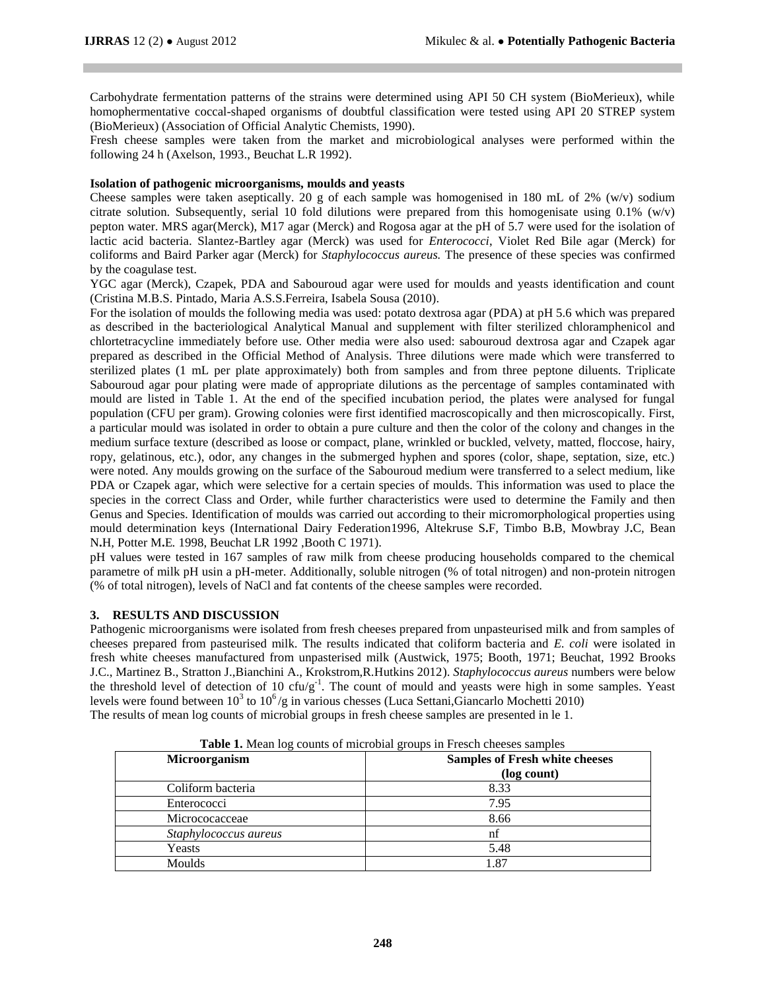Carbohydrate fermentation patterns of the strains were determined using API 50 CH system (BioMerieux), while homophermentative coccal-shaped organisms of doubtful classification were tested using API 20 STREP system (BioMerieux) (Association of Official Analytic Chemists, 1990).

Fresh cheese samples were taken from the market and microbiological analyses were performed within the following 24 h (Axelson, 1993., Beuchat L.R 1992).

### **Isolation of pathogenic microorganisms, moulds and yeasts**

Cheese samples were taken aseptically. 20 g of each sample was homogenised in 180 mL of 2% (w/v) sodium citrate solution. Subsequently, serial 10 fold dilutions were prepared from this homogenisate using 0.1% (w/v) pepton water. MRS agar(Merck), M17 agar (Merck) and Rogosa agar at the pH of 5.7 were used for the isolation of lactic acid bacteria. Slantez-Bartley agar (Merck) was used for *Enterococci*, Violet Red Bile agar (Merck) for coliforms and Baird Parker agar (Merck) for *Staphylococcus aureus.* The presence of these species was confirmed by the coagulase test.

YGC agar (Merck), Czapek, PDA and Sabouroud agar were used for moulds and yeasts identification and count (Cristina M.B.S. Pintado, Maria A.S.S.Ferreira, Isabela Sousa (2010).

For the isolation of moulds the following media was used: potato dextrosa agar (PDA) at pH 5.6 which was prepared as described in the bacteriological Analytical Manual and supplement with filter sterilized chloramphenicol and chlortetracycline immediately before use. Other media were also used: sabouroud dextrosa agar and Czapek agar prepared as described in the Official Method of Analysis. Three dilutions were made which were transferred to sterilized plates (1 mL per plate approximately) both from samples and from three peptone diluents. Triplicate Sabouroud agar pour plating were made of appropriate dilutions as the percentage of samples contaminated with mould are listed in Table 1. At the end of the specified incubation period, the plates were analysed for fungal population (CFU per gram). Growing colonies were first identified macroscopically and then microscopically. First, a particular mould was isolated in order to obtain a pure culture and then the color of the colony and changes in the medium surface texture (described as loose or compact, plane, wrinkled or buckled, velvety, matted, floccose, hairy, ropy, gelatinous, etc.), odor, any changes in the submerged hyphen and spores (color, shape, septation, size, etc.) were noted. Any moulds growing on the surface of the Sabouroud medium were transferred to a select medium, like PDA or Czapek agar, which were selective for a certain species of moulds. This information was used to place the species in the correct Class and Order, while further characteristics were used to determine the Family and then Genus and Species. Identification of moulds was carried out according to their micromorphological properties using mould determination keys (International Dairy Federation1996, Altekruse S**.**F*,* Timbo B**.**B*,* Mowbray J**.**C*,* Bean N**.**H*,* Potter M**.**E*.* 1998, Beuchat LR 1992 ,Booth C 1971).

pH values were tested in 167 samples of raw milk from cheese producing households compared to the chemical parametre of milk pH usin a pH-meter. Additionally, soluble nitrogen (% of total nitrogen) and non-protein nitrogen (% of total nitrogen), levels of NaCl and fat contents of the cheese samples were recorded.

#### **3. RESULTS AND DISCUSSION**

Pathogenic microorganisms were isolated from fresh cheeses prepared from unpasteurised milk and from samples of cheeses prepared from pasteurised milk. The results indicated that coliform bacteria and *E. coli* were isolated in fresh white cheeses manufactured from unpasterised milk (Austwick, 1975; Booth, 1971; Beuchat, 1992 Brooks J.C., Martinez B., Stratton J.,Bianchini A., Krokstrom,R.Hutkins 2012). *Staphylococcus aureus* numbers were below the threshold level of detection of 10 cfu/g<sup>-1</sup>. The count of mould and yeasts were high in some samples. Yeast levels were found between  $10^3$  to  $10^6$ /g in various chesses (Luca Settani, Giancarlo Mochetti 2010) The results of mean log counts of microbial groups in fresh cheese samples are presented in le 1.

| <b>Microorganism</b>  | <b>Samples of Fresh white cheeses</b> |  |
|-----------------------|---------------------------------------|--|
|                       | (log count)                           |  |
| Coliform bacteria     | 8.33                                  |  |
| Enterococci           | 7.95                                  |  |
| Micrococacceae        | 8.66                                  |  |
| Staphylococcus aureus | nf                                    |  |
| Yeasts                | 5.48                                  |  |
| Moulds                | 1.87                                  |  |

**Table 1.** Mean log counts of microbial groups in Fresch cheeses samples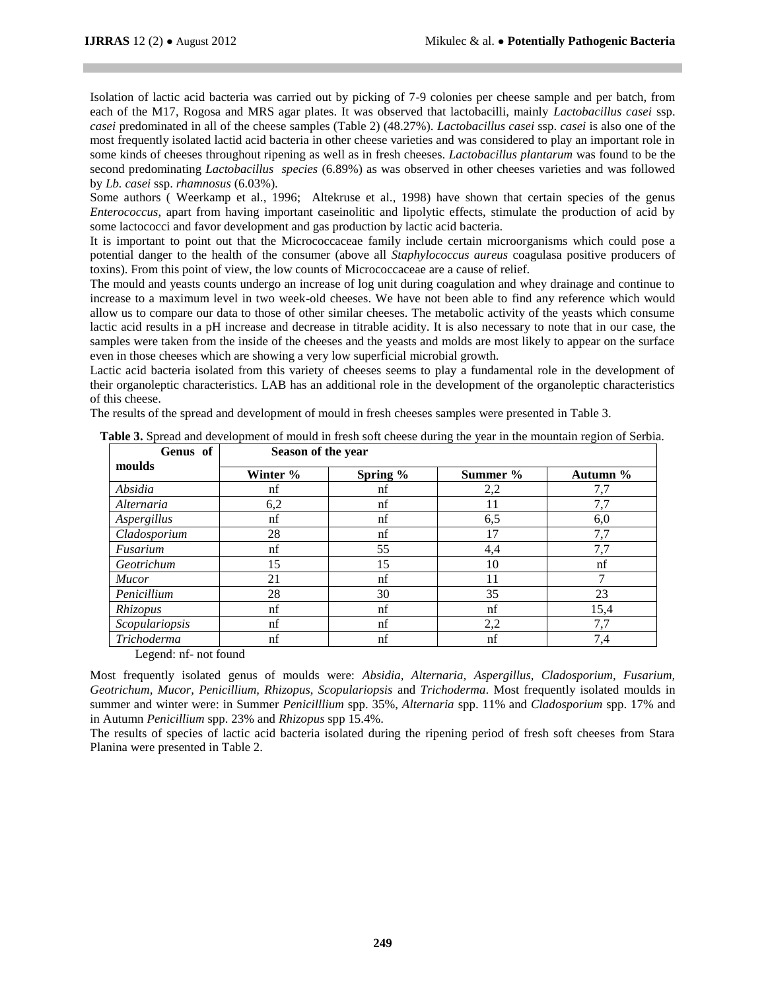Isolation of lactic acid bacteria was carried out by picking of 7-9 colonies per cheese sample and per batch, from each of the M17, Rogosa and MRS agar plates. It was observed that lactobacilli, mainly *Lactobacillus casei* ssp. *casei* predominated in all of the cheese samples (Table 2) (48.27%). *Lactobacillus casei* ssp. *casei* is also one of the most frequently isolated lactid acid bacteria in other cheese varieties and was considered to play an important role in some kinds of cheeses throughout ripening as well as in fresh cheeses. *Lactobacillus plantarum* was found to be the second predominating *Lactobacillus species* (6.89%) as was observed in other cheeses varieties and was followed by *Lb. casei* ssp. *rhamnosus* (6.03%)*.*

Some authors ( Weerkamp et al., 1996; Altekruse et al., 1998) have shown that certain species of the genus *Enterococcus*, apart from having important caseinolitic and lipolytic effects, stimulate the production of acid by some lactococci and favor development and gas production by lactic acid bacteria.

It is important to point out that the Micrococcaceae family include certain microorganisms which could pose a potential danger to the health of the consumer (above all *Staphylococcus aureus* coagulasa positive producers of toxins). From this point of view, the low counts of Micrococcaceae are a cause of relief.

The mould and yeasts counts undergo an increase of log unit during coagulation and whey drainage and continue to increase to a maximum level in two week-old cheeses. We have not been able to find any reference which would allow us to compare our data to those of other similar cheeses. The metabolic activity of the yeasts which consume lactic acid results in a pH increase and decrease in titrable acidity. It is also necessary to note that in our case, the samples were taken from the inside of the cheeses and the yeasts and molds are most likely to appear on the surface even in those cheeses which are showing a very low superficial microbial growth.

Lactic acid bacteria isolated from this variety of cheeses seems to play a fundamental role in the development of their organoleptic characteristics. LAB has an additional role in the development of the organoleptic characteristics of this cheese.

The results of the spread and development of mould in fresh cheeses samples were presented in Table 3.

| Genus of                                          | Season of the year |             |          |          |
|---------------------------------------------------|--------------------|-------------|----------|----------|
| moulds                                            | Winter %           | Spring $\%$ | Summer % | Autumn % |
| Absidia                                           | nf                 | nf          | 2,2      | 7,7      |
| Alternaria                                        | 6,2                | nf          | 11       | 7,7      |
| Aspergillus                                       | nf                 | nf          | 6,5      | 6,0      |
| Cladosporium                                      | 28                 | nf          | 17       | 7,7      |
| Fusarium                                          | nf                 | 55          | 4,4      | 7,7      |
| Geotrichum                                        | 15                 | 15          | 10       | nf       |
| <i>Mucor</i>                                      | 21                 | nf          | 11       | 7        |
| Penicillium                                       | 28                 | 30          | 35       | 23       |
| Rhizopus                                          | nf                 | nf          | nf       | 15,4     |
| Scopulariopsis                                    | nf                 | nf          | 2,2      | 7,7      |
| Trichoderma<br>$\sim$ $\sim$ $\sim$ $\sim$ $\sim$ | nf<br>$\sim$       | nf          | nf       | 7,4      |

Legend: nf- not found

Most frequently isolated genus of moulds were: *Absidia, Alternaria, Aspergillus, Cladosporium, Fusarium, Geotrichum, Mucor, Penicillium, Rhizopus, Scopulariopsis* and *Trichoderma*. Most frequently isolated moulds in summer and winter were: in Summer *Penicilllium* spp. 35%, *Alternaria* spp. 11% and *Cladosporium* spp. 17% and in Autumn *Penicillium* spp. 23% and *Rhizopus* spp 15.4%.

The results of species of lactic acid bacteria isolated during the ripening period of fresh soft cheeses from Stara Planina were presented in Table 2.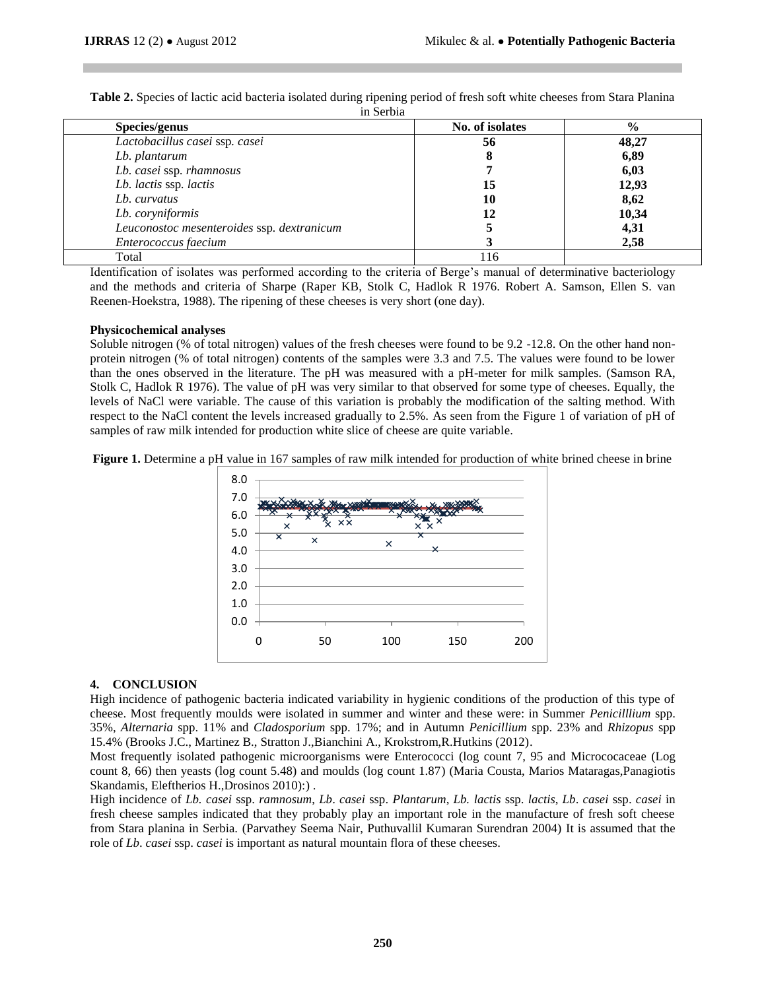**Table 2.** Species of lactic acid bacteria isolated during ripening period of fresh soft white cheeses from Stara Planina in Serbia

| Species/genus                              | No. of isolates | $\frac{0}{0}$ |  |  |
|--------------------------------------------|-----------------|---------------|--|--|
| Lactobacillus casei ssp. casei             | 56              | 48,27         |  |  |
| Lb. plantarum                              |                 | 6,89          |  |  |
| Lb. casei ssp. rhamnosus                   |                 | 6,03          |  |  |
| Lb. lactis ssp. lactis                     | 15              | 12,93         |  |  |
| Lb. curvatus                               | 10              | 8,62          |  |  |
| Lb. coryniformis                           | 12              | 10,34         |  |  |
| Leuconostoc mesenteroides ssp. dextranicum |                 | 4,31          |  |  |
| Enterococcus faecium                       |                 | 2,58          |  |  |
| Total                                      | 116             |               |  |  |

Identification of isolates was performed according to the criteria of Berge's manual of determinative bacteriology and the methods and criteria of Sharpe (Raper KB, Stolk C, Hadlok R 1976. Robert A. Samson, Ellen S. van Reenen-Hoekstra, 1988). The ripening of these cheeses is very short (one day).

#### **Physicochemical analyses**

Soluble nitrogen (% of total nitrogen) values of the fresh cheeses were found to be 9.2 -12.8. On the other hand nonprotein nitrogen (% of total nitrogen) contents of the samples were 3.3 and 7.5. The values were found to be lower than the ones observed in the literature. The pH was measured with a pH-meter for milk samples. (Samson RA, Stolk C, Hadlok R 1976). The value of pH was very similar to that observed for some type of cheeses. Equally, the levels of NaCl were variable. The cause of this variation is probably the modification of the salting method. With respect to the NaCl content the levels increased gradually to 2.5%. As seen from the Figure 1 of variation of pH of samples of raw milk intended for production white slice of cheese are quite variable.

**Figure 1.** Determine a pH value in 167 samples of raw milk intended for production of white brined cheese in brine



# **4. CONCLUSION**

High incidence of pathogenic bacteria indicated variability in hygienic conditions of the production of this type of cheese. Most frequently moulds were isolated in summer and winter and these were: in Summer *Penicilllium* spp. 35%, *Alternaria* spp. 11% and *Cladosporium* spp. 17%; and in Autumn *Penicillium* spp. 23% and *Rhizopus* spp 15.4% (Brooks J.C., Martinez B., Stratton J.,Bianchini A., Krokstrom,R.Hutkins (2012).

Most frequently isolated pathogenic microorganisms were Enterococci (log count 7, 95 and Micrococaceae (Log count 8, 66) then yeasts (log count 5.48) and moulds (log count 1.87) (Maria Cousta, Marios Mataragas,Panagiotis Skandamis, Eleftherios H.,Drosinos 2010):) .

High incidence of *Lb. casei* ssp. *ramnosum*, *Lb*. *casei* ssp. *Plantarum*, *Lb. lactis* ssp. *lactis*, *Lb*. *casei* ssp. *casei* in fresh cheese samples indicated that they probably play an important role in the manufacture of fresh soft cheese from Stara planina in Serbia. (Parvathey Seema Nair, Puthuvallil Kumaran Surendran 2004) It is assumed that the role of *Lb*. *casei* ssp. *casei* is important as natural mountain flora of these cheeses.